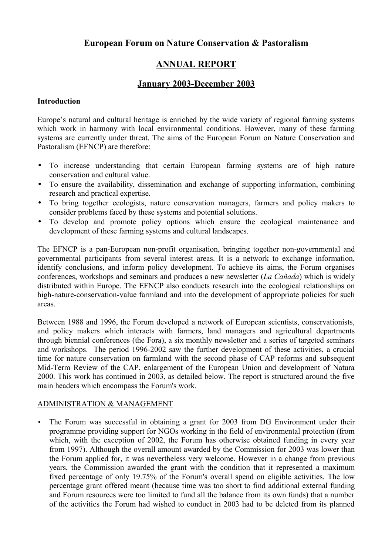## **European Forum on Nature Conservation & Pastoralism**

# **ANNUAL REPORT**

# **January 2003-December 2003**

## **Introduction**

Europe's natural and cultural heritage is enriched by the wide variety of regional farming systems which work in harmony with local environmental conditions. However, many of these farming systems are currently under threat. The aims of the European Forum on Nature Conservation and Pastoralism (EFNCP) are therefore:

- To increase understanding that certain European farming systems are of high nature conservation and cultural value.
- To ensure the availability, dissemination and exchange of supporting information, combining research and practical expertise.
- To bring together ecologists, nature conservation managers, farmers and policy makers to consider problems faced by these systems and potential solutions.
- To develop and promote policy options which ensure the ecological maintenance and development of these farming systems and cultural landscapes.

The EFNCP is a pan-European non-profit organisation, bringing together non-governmental and governmental participants from several interest areas. It is a network to exchange information, identify conclusions, and inform policy development. To achieve its aims, the Forum organises conferences, workshops and seminars and produces a new newsletter (*La Cañada*) which is widely distributed within Europe. The EFNCP also conducts research into the ecological relationships on high-nature-conservation-value farmland and into the development of appropriate policies for such areas.

Between 1988 and 1996, the Forum developed a network of European scientists, conservationists, and policy makers which interacts with farmers, land managers and agricultural departments through biennial conferences (the Fora), a six monthly newsletter and a series of targeted seminars and workshops. The period 1996-2002 saw the further development of these activities, a crucial time for nature conservation on farmland with the second phase of CAP reforms and subsequent Mid-Term Review of the CAP, enlargement of the European Union and development of Natura 2000. This work has continued in 2003, as detailed below. The report is structured around the five main headers which encompass the Forum's work.

## ADMINISTRATION & MANAGEMENT

• The Forum was successful in obtaining a grant for 2003 from DG Environment under their programme providing support for NGOs working in the field of environmental protection (from which, with the exception of 2002, the Forum has otherwise obtained funding in every year from 1997). Although the overall amount awarded by the Commission for 2003 was lower than the Forum applied for, it was nevertheless very welcome. However in a change from previous years, the Commission awarded the grant with the condition that it represented a maximum fixed percentage of only 19.75% of the Forum's overall spend on eligible activities. The low percentage grant offered meant (because time was too short to find additional external funding and Forum resources were too limited to fund all the balance from its own funds) that a number of the activities the Forum had wished to conduct in 2003 had to be deleted from its planned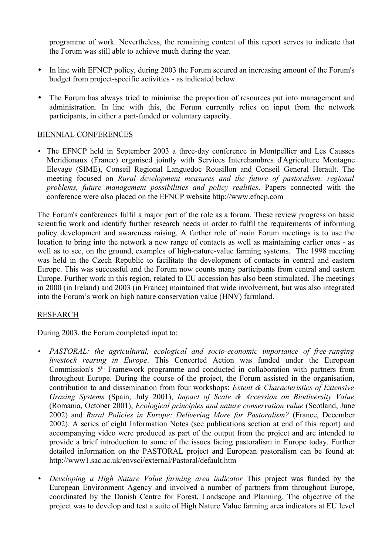programme of work. Nevertheless, the remaining content of this report serves to indicate that the Forum was still able to achieve much during the year.

- In line with EFNCP policy, during 2003 the Forum secured an increasing amount of the Forum's budget from project-specific activities - as indicated below.
- The Forum has always tried to minimise the proportion of resources put into management and administration. In line with this, the Forum currently relies on input from the network participants, in either a part-funded or voluntary capacity.

#### BIENNIAL CONFERENCES

• The EFNCP held in September 2003 a three-day conference in Montpellier and Les Causses Meridionaux (France) organised jointly with Services Interchambres d'Agriculture Montagne Elevage (SIME), Conseil Regional Languedoc Rousillon and Conseil General Herault. The meeting focused on *Rural development measures and the future of pastoralism: regional problems, future management possibilities and policy realities*. Papers connected with the conference were also placed on the EFNCP website http://www.efncp.com

The Forum's conferences fulfil a major part of the role as a forum. These review progress on basic scientific work and identify further research needs in order to fulfil the requirements of informing policy development and awareness raising. A further role of main Forum meetings is to use the location to bring into the network a new range of contacts as well as maintaining earlier ones - as well as to see, on the ground, examples of high-nature-value farming systems. The 1998 meeting was held in the Czech Republic to facilitate the development of contacts in central and eastern Europe. This was successful and the Forum now counts many participants from central and eastern Europe. Further work in this region, related to EU accession has also been stimulated. The meetings in 2000 (in Ireland) and 2003 (in France) maintained that wide involvement, but was also integrated into the Forum's work on high nature conservation value (HNV) farmland.

#### RESEARCH

During 2003, the Forum completed input to:

- *PASTORAL: the agricultural, ecological and socio-economic importance of free-ranging livestock rearing in Europe*. This Concerted Action was funded under the European Commission's  $5<sup>th</sup>$  Framework programme and conducted in collaboration with partners from throughout Europe. During the course of the project, the Forum assisted in the organisation, contribution to and dissemination from four workshops: *Extent & Characteristics of Extensive Grazing Systems* (Spain, July 2001), *Impact of Scale & Accession on Biodiversity Value* (Romania, October 2001), *Ecological principles and nature conservation value* (Scotland, June 2002) and *Rural Policies in Europe: Delivering More for Pastoralism?* (France, December 2002)*.* A series of eight Information Notes (see publications section at end of this report) and accompanying video were produced as part of the output from the project and are intended to provide a brief introduction to some of the issues facing pastoralism in Europe today. Further detailed information on the PASTORAL project and European pastoralism can be found at: http://www1.sac.ac.uk/envsci/external/Pastoral/default.htm
- *Developing a High Nature Value farming area indicator* This project was funded by the European Environment Agency and involved a number of partners from throughout Europe, coordinated by the Danish Centre for Forest, Landscape and Planning. The objective of the project was to develop and test a suite of High Nature Value farming area indicators at EU level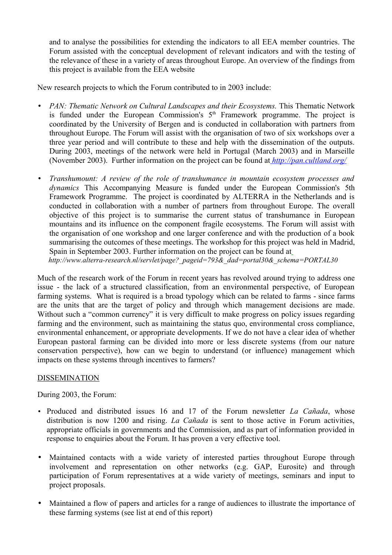and to analyse the possibilities for extending the indicators to all EEA member countries. The Forum assisted with the conceptual development of relevant indicators and with the testing of the relevance of these in a variety of areas throughout Europe. An overview of the findings from this project is available from the EEA website

New research projects to which the Forum contributed to in 2003 include:

- *PAN: Thematic Network on Cultural Landscapes and their Ecosystems.* This Thematic Network is funded under the European Commission's  $5<sup>th</sup>$  Framework programme. The project is coordinated by the University of Bergen and is conducted in collaboration with partners from throughout Europe. The Forum will assist with the organisation of two of six workshops over a three year period and will contribute to these and help with the dissemination of the outputs. During 2003, meetings of the network were held in Portugal (March 2003) and in Marseille (November 2003). Further information on the project can be found at *[http://pan.cultland.org/](http://www.cultland.org/pan)*
- *Transhumount: A review of the role of transhumance in mountain ecosystem processes and dynamics* This Accompanying Measure is funded under the European Commission's 5th Framework Programme. The project is coordinated by ALTERRA in the Netherlands and is conducted in collaboration with a number of partners from throughout Europe. The overall objective of this project is to summarise the current status of transhumance in European mountains and its influence on the component fragile ecosystems. The Forum will assist with the organisation of one workshop and one larger conference and with the production of a book summarising the outcomes of these meetings. The workshop for this project was held in Madrid, Spain in September 2003. Further information on the project can be found at *[http://www.alterra-research.nl/servlet/page?\\_pageid=793&\\_dad=portal30&\\_schema=PORTAL30](http://www.alterra-research.nl/servlet/page?_pageid=793&_dad=portal30&_schema=PORTAL30)*

Much of the research work of the Forum in recent years has revolved around trying to address one issue - the lack of a structured classification, from an environmental perspective, of European farming systems. What is required is a broad typology which can be related to farms - since farms are the units that are the target of policy and through which management decisions are made. Without such a "common currency" it is very difficult to make progress on policy issues regarding farming and the environment, such as maintaining the status quo, environmental cross compliance, environmental enhancement, or appropriate developments. If we do not have a clear idea of whether European pastoral farming can be divided into more or less discrete systems (from our nature conservation perspective), how can we begin to understand (or influence) management which impacts on these systems through incentives to farmers?

## **DISSEMINATION**

During 2003, the Forum:

- Produced and distributed issues 16 and 17 of the Forum newsletter *La Cañada*, whose distribution is now 1200 and rising. *La Cañada* is sent to those active in Forum activities, appropriate officials in governments and the Commission, and as part of information provided in response to enquiries about the Forum. It has proven a very effective tool.
- Maintained contacts with a wide variety of interested parties throughout Europe through involvement and representation on other networks (e.g. GAP, Eurosite) and through participation of Forum representatives at a wide variety of meetings, seminars and input to project proposals.
- Maintained a flow of papers and articles for a range of audiences to illustrate the importance of these farming systems (see list at end of this report)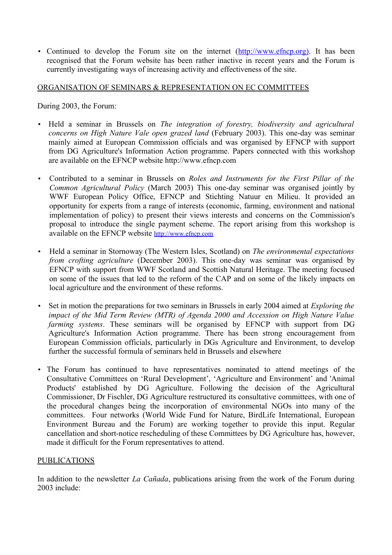• Continued to develop the Forum site on the internet (http://www.efncp.org). It has been recognised that the Forum website has been rather inactive in recent years and the Forum is currently investigating ways of increasing activity and effectiveness of the site.

### ORGANISATION OF SEMINARS & REPRESENTATION ON EC COMMITTEES

During 2003, the Forum:

- Held a seminar in Brussels on *The integration of forestry, biodiversity and agricultural concerns on High Nature Vale open grazed land* (February 2003). This one-day was seminar mainly aimed at European Commission officials and was organised by EFNCP with support from DG Agriculture's Information Action programme. Papers connected with this workshop are available on the EFNCP website http://www.efncp.com
- Contributed to a seminar in Brussels on *Roles and Instruments for the First Pillar of the Common Agricultural Policy* (March 2003) This one-day seminar was organised jointly by WWF European Policy Office, EFNCP and Stichting Natuur en Milieu. It provided an opportunity for experts from a range of interests (economic, farming, environment and national implementation of policy) to present their views interests and concerns on the Commission's proposal to introduce the single payment scheme. The report arising from this workshop is available on the EFNCP website [http://www.efncp.com](http://www.efncp.com/)
- Held a seminar in Stornoway (The Western Isles, Scotland) on *The environmental expectations from crofting agriculture* (December 2003). This one-day was seminar was organised by EFNCP with support from WWF Scotland and Scottish Natural Heritage. The meeting focused on some of the issues that led to the reform of the CAP and on some of the likely impacts on local agriculture and the environment of these reforms.
- Set in motion the preparations for two seminars in Brussels in early 2004 aimed at *Exploring the impact of the Mid Term Review (MTR) of Agenda 2000 and Accession on High Nature Value farming systems*. These seminars will be organised by EFNCP with support from DG Agriculture's Information Action programme. There has been strong encouragement from European Commission officials, particularly in DGs Agriculture and Environment, to develop further the successful formula of seminars held in Brussels and elsewhere
- The Forum has continued to have representatives nominated to attend meetings of the Consultative Committees on 'Rural Development', 'Agriculture and Environment' and 'Animal Products' established by DG Agriculture. Following the decision of the Agricultural Commissioner, Dr Fischler, DG Agriculture restructured its consultative committees, with one of the procedural changes being the incorporation of environmental NGOs into many of the committees. Four networks (World Wide Fund for Nature, BirdLife International, European Environment Bureau and the Forum) are working together to provide this input. Regular cancellation and short-notice rescheduling of these Committees by DG Agriculture has, however, made it difficult for the Forum representatives to attend.

## PUBLICATIONS

In addition to the newsletter *La Cañada*, publications arising from the work of the Forum during 2003 include: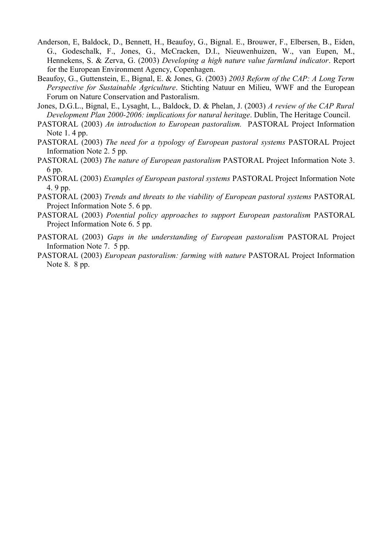- Anderson, E, Baldock, D., Bennett, H., Beaufoy, G., Bignal. E., Brouwer, F., Elbersen, B., Eiden, G., Godeschalk, F., Jones, G., McCracken, D.I., Nieuwenhuizen, W., van Eupen, M., Hennekens, S. & Zerva, G. (2003) *Developing a high nature value farmland indicator*. Report for the European Environment Agency, Copenhagen.
- Beaufoy, G., Guttenstein, E., Bignal, E. & Jones, G. (2003) *2003 Reform of the CAP: A Long Term Perspective for Sustainable Agriculture*. Stichting Natuur en Milieu, WWF and the European Forum on Nature Conservation and Pastoralism.
- Jones, D.G.L., Bignal, E., Lysaght, L., Baldock, D. & Phelan, J. (2003) *A review of the CAP Rural Development Plan 2000-2006: implications for natural heritage*. Dublin, The Heritage Council.
- PASTORAL (2003) *An introduction to European pastoralism.* PASTORAL Project Information Note 1. 4 pp.
- PASTORAL (2003) *The need for a typology of European pastoral systems* PASTORAL Project Information Note 2. 5 pp.
- PASTORAL (2003) *The nature of European pastoralism* PASTORAL Project Information Note 3. 6 pp.
- PASTORAL (2003) *Examples of European pastoral systems* PASTORAL Project Information Note 4. 9 pp.
- PASTORAL (2003) *Trends and threats to the viability of European pastoral systems* PASTORAL Project Information Note 5. 6 pp.
- PASTORAL (2003) *Potential policy approaches to support European pastoralism* PASTORAL Project Information Note 6. 5 pp.
- PASTORAL (2003) *Gaps in the understanding of European pastoralism* PASTORAL Project Information Note 7. 5 pp.
- PASTORAL (2003) *European pastoralism: farming with nature* PASTORAL Project Information Note 8. 8 pp.